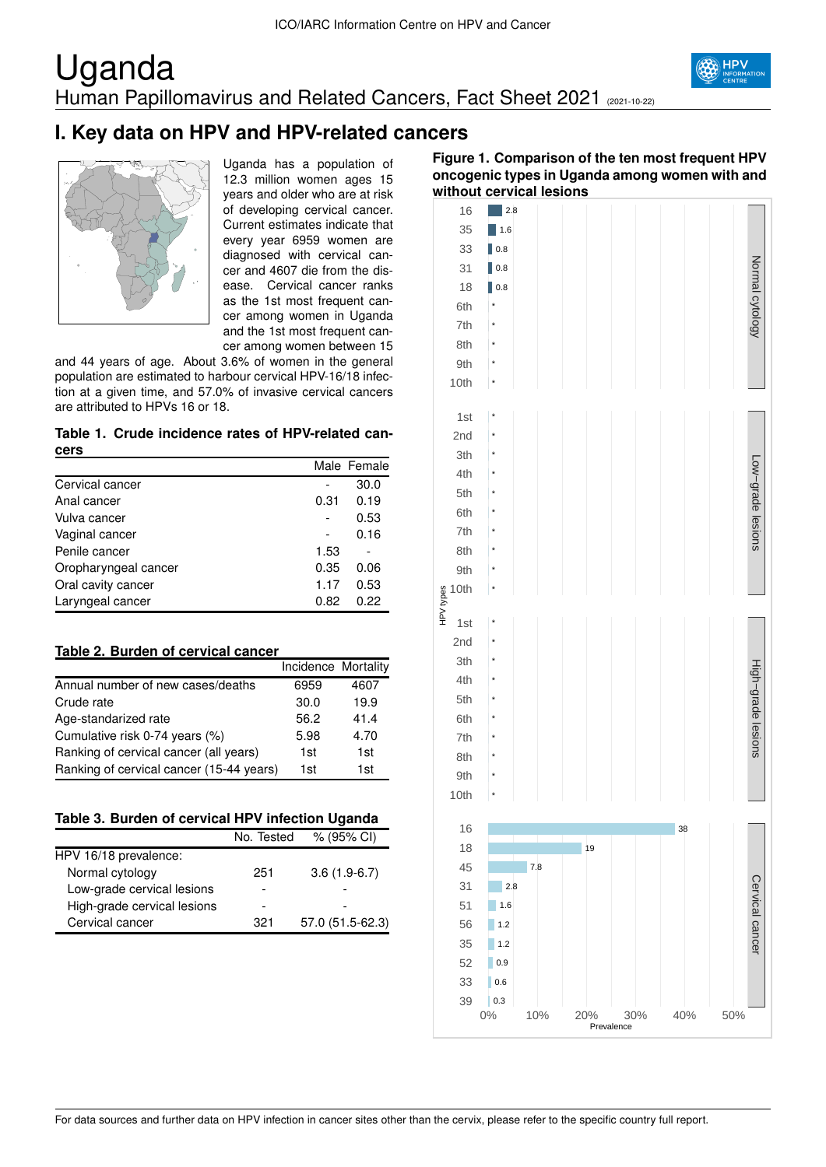## Uganda Human Papillomavirus and Related Cancers, Fact Sheet 2021 (2021-10-22)



### **I. Key data on HPV and HPV-related cancers**



Uganda has a population of 12.3 million women ages 15 years and older who are at risk of developing cervical cancer. Current estimates indicate that every year 6959 women are diagnosed with cervical cancer and 4607 die from the disease. Cervical cancer ranks as the 1st most frequent cancer among women in Uganda and the 1st most frequent cancer among women between 15

and 44 years of age. About 3.6% of women in the general population are estimated to harbour cervical HPV-16/18 infection at a given time, and 57.0% of invasive cervical cancers are attributed to HPVs 16 or 18.

**Table 1. Crude incidence rates of HPV-related cancers**

|                      |      | Male Female |
|----------------------|------|-------------|
| Cervical cancer      |      | 30.0        |
| Anal cancer          | 0.31 | 0.19        |
| Vulva cancer         |      | 0.53        |
| Vaginal cancer       |      | 0.16        |
| Penile cancer        | 1.53 |             |
| Oropharyngeal cancer | 0.35 | 0.06        |
| Oral cavity cancer   | 1.17 | 0.53        |
| Laryngeal cancer     | 0.82 | 0.22        |

| Table 2. Burden of cervical cancer |  |
|------------------------------------|--|
|------------------------------------|--|

|                                          | Incidence Mortality |      |
|------------------------------------------|---------------------|------|
| Annual number of new cases/deaths        | 6959                | 4607 |
| Crude rate                               | 30.0                | 19.9 |
| Age-standarized rate                     | 56.2                | 41.4 |
| Cumulative risk 0-74 years (%)           | 5.98                | 4.70 |
| Ranking of cervical cancer (all years)   | 1st                 | 1st  |
| Ranking of cervical cancer (15-44 years) | 1st                 | 1st  |

|  |  | Table 3. Burden of cervical HPV infection Uganda |  |
|--|--|--------------------------------------------------|--|
|  |  |                                                  |  |

|                             | No. Tested | % (95% CI)       |
|-----------------------------|------------|------------------|
| HPV 16/18 prevalence:       |            |                  |
| Normal cytology             | 251        | $3.6(1.9-6.7)$   |
| Low-grade cervical lesions  |            |                  |
| High-grade cervical lesions |            |                  |
| Cervical cancer             | 321        | 57.0 (51.5-62.3) |

#### **Figure 1. Comparison of the ten most frequent HPV oncogenic types in Uganda among women with and without cervical lesions**